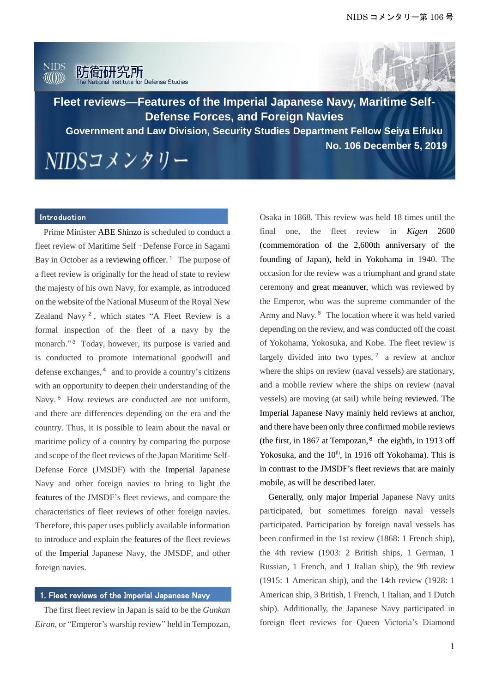



**Fleet reviews—Features of the Imperial Japanese Navy, Maritime Self-Defense Forces, and Foreign Navies**

**No. 106 December 5, 2019 Government and Law Division, Security Studies Department Fellow Seiya Eifuku**

NIDSコメンタリー

#### Introduction

Prime Minister ABE Shinzo is scheduled to conduct a fleet review of Maritime Self‐Defense Force in Sagami Bay in October as a reviewing officer.<sup>1</sup> The purpose of a fleet review is originally for the head of state to review the majesty of his own Navy, for example, as introduced on the website of the National Museum of the Royal New Zealand Navy<sup>2</sup>, which states "A Fleet Review is a formal inspection of the fleet of a navy by the monarch." <sup>3</sup> Today, however, its purpose is varied and is conducted to promote international goodwill and defense exchanges,<sup>4</sup> and to provide a country's citizens with an opportunity to deepen their understanding of the Navy.<sup>5</sup> How reviews are conducted are not uniform, and there are differences depending on the era and the country. Thus, it is possible to learn about the naval or maritime policy of a country by comparing the purpose and scope of the fleet reviews of the Japan Maritime Self-Defense Force (JMSDF) with the Imperial Japanese Navy and other foreign navies to bring to light the features of the JMSDF's fleet reviews, and compare the characteristics of fleet reviews of other foreign navies. Therefore, this paper uses publicly available information to introduce and explain the features of the fleet reviews of the Imperial Japanese Navy, the JMSDF, and other foreign navies.

#### 1. Fleet reviews of the Imperial Japanese Navy

The first fleet review in Japan is said to be the *Gunkan Eiran*, or "Emperor's warship review" held in Tempozan, Osaka in 1868. This review was held 18 times until the final one, the fleet review in *Kigen* 2600 (commemoration of the 2,600th anniversary of the founding of Japan), held in Yokohama in 1940. The occasion for the review was a triumphant and grand state ceremony and great meanuver, which was reviewed by the Emperor, who was the supreme commander of the Army and Navy.<sup>6</sup> The location where it was held varied depending on the review, and was conducted off the coast of Yokohama, Yokosuka, and Kobe. The fleet review is largely divided into two types,  $\frac{7}{2}$  a review at anchor where the ships on review (naval vessels) are stationary, and a mobile review where the ships on review (naval vessels) are moving (at sail) while being reviewed. The Imperial Japanese Navy mainly held reviews at anchor, and there have been only three confirmed mobile reviews (the first, in 1867 at Tempozan, $<sup>8</sup>$  the eighth, in 1913 off</sup> Yokosuka, and the 10<sup>th</sup>, in 1916 off Yokohama). This is in contrast to the JMSDF's fleet reviews that are mainly mobile, as will be described later.

Generally, only major Imperial Japanese Navy units participated, but sometimes foreign naval vessels participated. Participation by foreign naval vessels has been confirmed in the 1st review (1868: 1 French ship), the 4th review (1903: 2 British ships, 1 German, 1 Russian, 1 French, and 1 Italian ship), the 9th review (1915: 1 American ship), and the 14th review (1928: 1 American ship, 3 British, 1 French, 1 Italian, and 1 Dutch ship). Additionally, the Japanese Navy participated in foreign fleet reviews for Queen Victoria's Diamond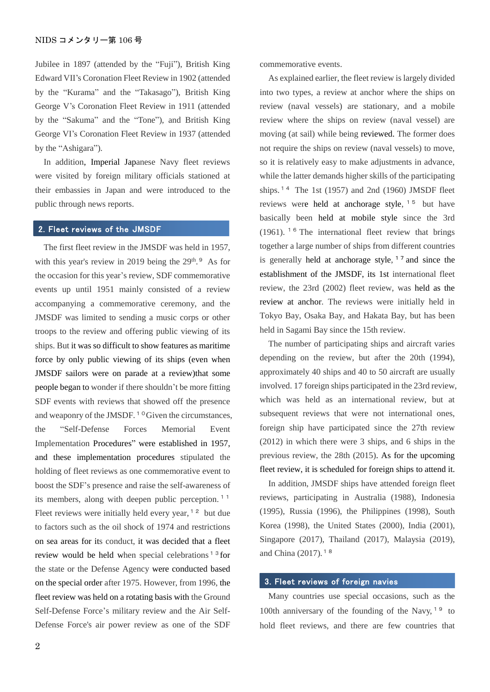Jubilee in 1897 (attended by the "Fuji"), British King Edward VII's Coronation Fleet Review in 1902 (attended by the "Kurama" and the "Takasago"), British King George V's Coronation Fleet Review in 1911 (attended by the "Sakuma" and the "Tone"), and British King George VI's Coronation Fleet Review in 1937 (attended by the "Ashigara").

In addition, Imperial Japanese Navy fleet reviews were visited by foreign military officials stationed at their embassies in Japan and were introduced to the public through news reports.

## 2. Fleet reviews of the JMSDF

The first fleet review in the JMSDF was held in 1957, with this year's review in 2019 being the  $29<sup>th</sup>$ .<sup>9</sup> As for the occasion for this year's review, SDF commemorative events up until 1951 mainly consisted of a review accompanying a commemorative ceremony, and the JMSDF was limited to sending a music corps or other troops to the review and offering public viewing of its ships. But it was so difficult to show features as maritime force by only public viewing of its ships (even when JMSDF sailors were on parade at a review)that some people began to wonder if there shouldn't be more fitting SDF events with reviews that showed off the presence and weaponry of the JMSDF.<sup>10</sup> Given the circumstances, the "Self-Defense Forces Memorial Event Implementation Procedures" were established in 1957, and these implementation procedures stipulated the holding of fleet reviews as one commemorative event to boost the SDF's presence and raise the self-awareness of its members, along with deepen public perception.<sup>11</sup> Fleet reviews were initially held every year,  $12$  but due to factors such as the oil shock of 1974 and restrictions on sea areas for its conduct, it was decided that a fleet review would be held when special celebrations<sup> $13$ </sup> for the state or the Defense Agency were conducted based on the special order after 1975. However, from 1996, the fleet review was held on a rotating basis with the Ground Self-Defense Force's military review and the Air Self-Defense Force's air power review as one of the SDF

commemorative events.

As explained earlier, the fleet review is largely divided into two types, a review at anchor where the ships on review (naval vessels) are stationary, and a mobile review where the ships on review (naval vessel) are moving (at sail) while being reviewed. The former does not require the ships on review (naval vessels) to move, so it is relatively easy to make adjustments in advance, while the latter demands higher skills of the participating ships.<sup>14</sup> The 1st (1957) and 2nd (1960) JMSDF fleet reviews were held at anchorage style, <sup>15</sup> but have basically been held at mobile style since the 3rd  $(1961)$ . <sup>16</sup> The international fleet review that brings together a large number of ships from different countries is generally held at anchorage style,  $17$  and since the establishment of the JMSDF, its 1st international fleet review, the 23rd (2002) fleet review, was held as the review at anchor. The reviews were initially held in Tokyo Bay, Osaka Bay, and Hakata Bay, but has been held in Sagami Bay since the 15th review.

The number of participating ships and aircraft varies depending on the review, but after the 20th (1994), approximately 40 ships and 40 to 50 aircraft are usually involved. 17 foreign ships participated in the 23rd review, which was held as an international review, but at subsequent reviews that were not international ones, foreign ship have participated since the 27th review (2012) in which there were 3 ships, and 6 ships in the previous review, the 28th (2015). As for the upcoming fleet review, it is scheduled for foreign ships to attend it.

In addition, JMSDF ships have attended foreign fleet reviews, participating in Australia (1988), Indonesia (1995), Russia (1996), the Philippines (1998), South Korea (1998), the United States (2000), India (2001), Singapore (2017), Thailand (2017), Malaysia (2019), and China (2017).<sup>18</sup>

#### 3. Fleet reviews of foreign navies

Many countries use special occasions, such as the 100th anniversary of the founding of the Navy,  $19$  to hold fleet reviews, and there are few countries that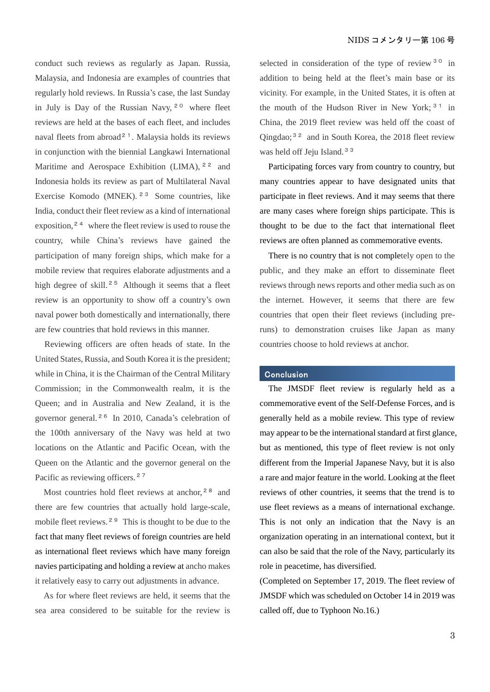conduct such reviews as regularly as Japan. Russia, Malaysia, and Indonesia are examples of countries that regularly hold reviews. In Russia's case, the last Sunday in July is Day of the Russian Navy,  $2^{\circ}$  where fleet reviews are held at the bases of each fleet, and includes naval fleets from abroad<sup>21</sup>. Malaysia holds its reviews in conjunction with the biennial Langkawi International Maritime and Aerospace Exhibition (LIMA), <sup>22</sup> and Indonesia holds its review as part of Multilateral Naval Exercise Komodo (MNEK). <sup>23</sup> Some countries, like India, conduct their fleet review as a kind of international exposition,  $2<sup>4</sup>$  where the fleet review is used to rouse the country, while China's reviews have gained the participation of many foreign ships, which make for a mobile review that requires elaborate adjustments and a high degree of skill.<sup>25</sup> Although it seems that a fleet review is an opportunity to show off a country's own naval power both domestically and internationally, there are few countries that hold reviews in this manner.

Reviewing officers are often heads of state. In the United States, Russia, and South Korea it is the president; while in China, it is the Chairman of the Central Military Commission; in the Commonwealth realm, it is the Queen; and in Australia and New Zealand, it is the governor general. <sup>26</sup> In 2010, Canada's celebration of the 100th anniversary of the Navy was held at two locations on the Atlantic and Pacific Ocean, with the Queen on the Atlantic and the governor general on the Pacific as reviewing officers.<sup>27</sup>

Most countries hold fleet reviews at anchor,<sup>28</sup> and there are few countries that actually hold large-scale, mobile fleet reviews.<sup>29</sup> This is thought to be due to the fact that many fleet reviews of foreign countries are held as international fleet reviews which have many foreign navies participating and holding a review at ancho makes it relatively easy to carry out adjustments in advance.

As for where fleet reviews are held, it seems that the sea area considered to be suitable for the review is selected in consideration of the type of review  $30$  in addition to being held at the fleet's main base or its vicinity. For example, in the United States, it is often at the mouth of the Hudson River in New York;  $31$  in China, the 2019 fleet review was held off the coast of Qingdao;<sup>32</sup> and in South Korea, the 2018 fleet review was held off Jeju Island.<sup>33</sup>

Participating forces vary from country to country, but many countries appear to have designated units that participate in fleet reviews. And it may seems that there are many cases where foreign ships participate. This is thought to be due to the fact that international fleet reviews are often planned as commemorative events.

There is no country that is not completely open to the public, and they make an effort to disseminate fleet reviews through news reports and other media such as on the internet. However, it seems that there are few countries that open their fleet reviews (including preruns) to demonstration cruises like Japan as many countries choose to hold reviews at anchor.

### Conclusion

The JMSDF fleet review is regularly held as a commemorative event of the Self-Defense Forces, and is generally held as a mobile review. This type of review may appear to be the international standard at first glance, but as mentioned, this type of fleet review is not only different from the Imperial Japanese Navy, but it is also a rare and major feature in the world. Looking at the fleet reviews of other countries, it seems that the trend is to use fleet reviews as a means of international exchange. This is not only an indication that the Navy is an organization operating in an international context, but it can also be said that the role of the Navy, particularly its role in peacetime, has diversified.

(Completed on September 17, 2019. The fleet review of JMSDF which was scheduled on October 14 in 2019 was called off, due to Typhoon No.16.)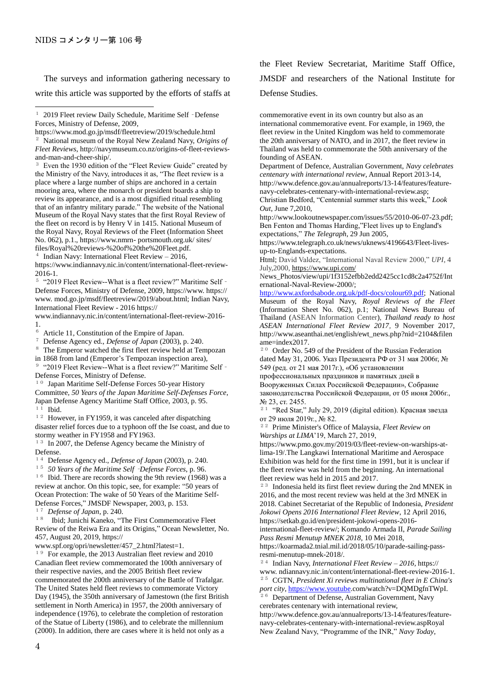$\overline{a}$ 

The surveys and information gathering necessary to write this article was supported by the efforts of staffs at

Even the 1930 edition of the "Fleet Review Guide" created by the Ministry of the Navy, introduces it as, "The fleet review is a place where a large number of ships are anchored in a certain mooring area, where the monarch or president boards a ship to review its appearance, and is a most dignified ritual resembling that of an infantry military parade." The website of the National Museum of the Royal Navy states that the first Royal Review of the fleet on record is by Henry V in 1415. National Museum of the Royal Navy, Royal Reviews of the Fleet (Information Sheet No. 062), p.1., https://www.nmrn- portsmouth.org.uk/ sites/ files/Royal%20reviews-%20of%20the%20Fleet.pdf.

<sup>4</sup> Indian Navy: International Fleet Review – 2016,

https://www.indiannavy.nic.in/content/international-fleet-review-2016-1.

<sup>5</sup> "2019 Fleet Review--What is a fleet review?" Maritime Self -Defense Forces, Ministry of Defense, 2009, https://www. https:// www. mod.go.jp/msdf/fleetreview/2019/about.html; Indian Navy, International Fleet Review - 2016 https://

www.indiannavy.nic.in/content/international-fleet-review-2016-  $\frac{1}{6}$ 

<sup>6</sup> Article 11, Constitution of the Empire of Japan.

<sup>7</sup> Defense Agency ed., *Defense of Japan* (2003), p. 240.

The Emperor watched the first fleet review held at Tempozan

in 1868 from land (Emperor's Tempozan inspection area), <sup>9</sup> "2019 Fleet Review--What is a fleet review?" Maritime Self -Defense Forces, Ministry of Defense.

<sup>10</sup> Japan Maritime Self-Defense Forces 50-year History Committee, *50 Years of the Japan Maritime Self-Defenses Force*, Japan Defense Agency Maritime Staff Office, 2003, p. 95.  $1\overline{1}$  Ibid.

<sup>12</sup> However, in FY1959, it was canceled after dispatching disaster relief forces due to a typhoon off the Ise coast, and due to stormy weather in FY1958 and FY1963.

<sup>13</sup> In 2007, the Defense Agency became the Ministry of Defense.

<sup>14</sup> Defense Agency ed., *Defense of Japan* (2003), p. 240.

<sup>15</sup> *50 Years of the Maritime Self*‐*Defense Forces*, p. 96.

 $16$  Ibid. There are records showing the 9th review (1968) was a review at anchor. On this topic, see, for example: "50 years of Ocean Protection: The wake of 50 Years of the Maritime Self-Defense Forces," JMSDF Newspaper, 2003, p. 153.

<sup>17</sup> *Defense of Japan*, p. 240.

<sup>18</sup> Ibid; Junichi Kaneko, "The First Commemorative Fleet Review of the Reiwa Era and its Origins," Ocean Newsletter, No. 457, August 20, 2019, https://

www.spf.org/opri/newsletter/457\_2.html?latest=1.

<sup>19</sup> For example, the 2013 Australian fleet review and 2010 Canadian fleet review commemorated the 100th anniversary of their respective navies, and the 2005 British fleet review commemorated the 200th anniversary of the Battle of Trafalgar. The United States held fleet reviews to commemorate Victory Day (1945), the 350th anniversary of Jamestown (the first British settlement in North America) in 1957, the 200th anniversary of independence (1976), to celebrate the completion of restoration of the Statue of Liberty (1986), and to celebrate the millennium (2000). In addition, there are cases where it is held not only as a

the Fleet Review Secretariat, Maritime Staff Office, JMSDF and researchers of the National Institute for Defense Studies.

commemorative event in its own country but also as an international commemorative event. For example, in 1969, the fleet review in the United Kingdom was held to commemorate the 20th anniversary of NATO, and in 2017, the fleet review in Thailand was held to commemorate the 50th anniversary of the founding of ASEAN.

Department of Defence, Australian Government, *Navy celebrates centenary with international review*, Annual Report 2013-14, http://www.defence.gov.au/annualreports/13-14/features/featurenavy-celebrates-centenary-with-international-review.asp;

Christian Bedford, "Centennial summer starts this week," *Look Out*, June 7,2010,

http://www.lookoutnewspaper.com/issues/55/2010-06-07-23.pdf; Ben Fenton and Thomas Harding,"Fleet lives up to England's expectations," *The Telegraph*, 29 Jun 2005,

https://www.telegraph.co.uk/news/uknews/4196643/Fleet-livesup-to-Englands-expectations.

Html; David Valdez, "International Naval Review 2000," *UPI*, 4 July,2000,<https://www.upi.com/>

News\_Photos/view/upi/1f3152efbb2edd2425cc1cd8c2a4752f/Int ernational-Naval-Review-2000/;

[http://www.axfordsabode.org.uk/pdf-docs/colour69.pdf;](http://www.axfordsabode.org.uk/pdf-docs/colour69.pdf) National Museum of the Royal Navy, *Royal Reviews of the Fleet* (Information Sheet No. 062), p.1; National News Bureau of Thailand (ASEAN Information Center), *Thailand ready to host ASEAN International Fleet Review 2017,* 9 November 2017, http://www.aseanthai.net/english/ewt\_news.php?nid=2104&filen ame=index2017.

<sup>20</sup> Order No. 549 of the President of the Russian Federation dated May 31, 2006. Указ Президента РФ от 31 мая 2006г, № 549 (ред. от 21 мая 2017г.), «Об установлении

профессиональных праздников и памятных дней в Вооруженных Силах Российской Федерации», Собрание законодательства Российской Федерации, от 05 июня 2006г., № 23, ст. 2455.

<sup>21</sup> "Red Star," July 29, 2019 (digital edition). Красная звезда от 29 июля 2019г., № 82.

<sup>22</sup> Prime Minister's Office of Malaysia, *Fleet Review on Warships at LIMA*'19, March 27, 2019,

https://www.pmo.gov.my/2019/03/fleet-review-on-warships-atlima-19/.The Langkawi International Maritime and Aerospace Exhibition was held for the first time in 1991, but it is unclear if the fleet review was held from the beginning. An international fleet review was held in 2015 and 2017.

<sup>23</sup> Indonesia held its first fleet review during the 2nd MNEK in 2016, and the most recent review was held at the 3rd MNEK in 2018. Cabinet Secretariat of the Republic of Indonesia, *President Jokowi Opens 2016 International Fleet Review*, 12 April 2016, https://setkab.go.id/en/president-jokowi-opens-2016-

international-fleet-review/; Komando Armada II, *Parade Sailing Pass Resmi Menutup MNEK 2018*, 10 Mei 2018,

https://koarmada2.tnial.mil.id/2018/05/10/parade-sailing-passresmi-menutup-mnek-2018/.

<sup>24</sup> Indian Navy, *International Fleet Review – 2016,* https:// www. ndiannavy.nic.in/content/international-fleet-review-2016-1. <sup>25</sup> CGTN, *President Xi reviews multinational fleet in E China's port city*[, https://www.youtube.](https://www.youtube/)com/watch?v=DQMDgfnTWpI.

<sup>26</sup> Department of Defense, Australian Government, Navy cerebrates centenary with international review, http://www.defence.gov.au/annualreports/13-14/features/feature-

navy-celebrates-centenary-with-international-review.aspRoyal New Zealand Navy, "Programme of the INR," *Navy Today*,

<sup>&</sup>lt;sup>1</sup> 2019 Fleet review Daily Schedule, Maritime Self - Defense Forces, Ministry of Defense, 2009,

https://www.mod.go.jp/msdf/fleetreview/2019/schedule.html <sup>2</sup> National museum of the Royal New Zealand Navy, *Origins of Fleet Reviews*, http://navymuseum.co.nz/origins-of-fleet-reviewsand-man-and-cheer-ship/.